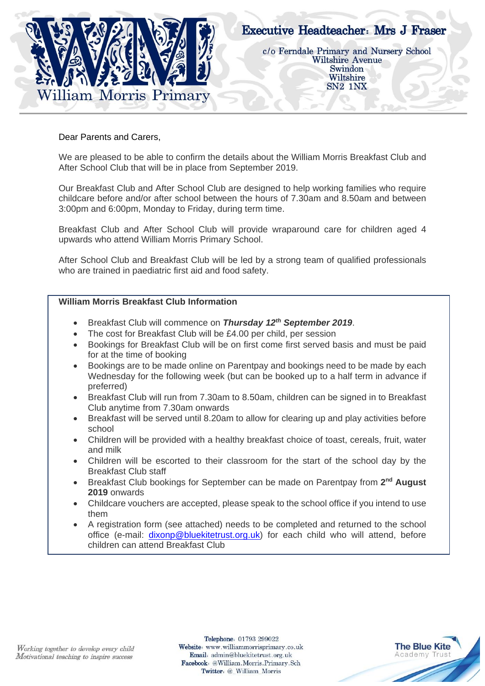

## Dear Parents and Carers,

We are pleased to be able to confirm the details about the William Morris Breakfast Club and After School Club that will be in place from September 2019.

Our Breakfast Club and After School Club are designed to help working families who require childcare before and/or after school between the hours of 7.30am and 8.50am and between 3:00pm and 6:00pm, Monday to Friday, during term time.

Breakfast Club and After School Club will provide wraparound care for children aged 4 upwards who attend William Morris Primary School.

After School Club and Breakfast Club will be led by a strong team of qualified professionals who are trained in paediatric first aid and food safety.

## **William Morris Breakfast Club Information**

- Breakfast Club will commence on *Thursday 12th September 2019*.
- The cost for Breakfast Club will be £4.00 per child, per session
- Bookings for Breakfast Club will be on first come first served basis and must be paid for at the time of booking
- Bookings are to be made online on Parentpay and bookings need to be made by each Wednesday for the following week (but can be booked up to a half term in advance if preferred)
- Breakfast Club will run from 7.30am to 8.50am, children can be signed in to Breakfast Club anytime from 7.30am onwards
- Breakfast will be served until 8.20am to allow for clearing up and play activities before school
- Children will be provided with a healthy breakfast choice of toast, cereals, fruit, water and milk
- Children will be escorted to their classroom for the start of the school day by the Breakfast Club staff
- **•** Breakfast Club bookings for September can be made on Parentpay from 2<sup>nd</sup> August **2019** onwards
- Childcare vouchers are accepted, please speak to the school office if you intend to use them
- A registration form (see attached) needs to be completed and returned to the school office (e-mail: [dixonp@bluekitetrust.org.uk\)](mailto:dixonp@bluekitetrust.org.uk) for each child who will attend, before children can attend Breakfast Club